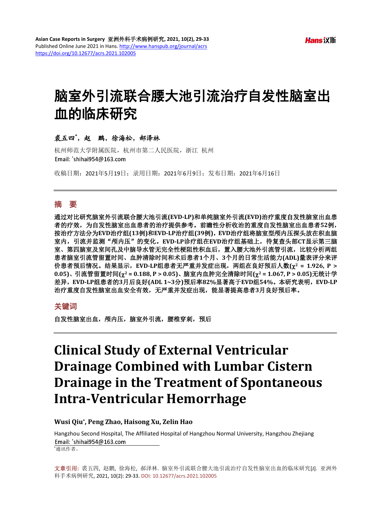# 脑室外引流联合腰大池引流治疗自发性脑室出 血的临床研究

## 裘五四**\*** ,赵鹏,徐海松,郝泽林

杭州师范大学附属医院,杭州市第二人民医院,浙江 杭州 Email: \*shihai954@163.com

收稿日期:2021年5月19日;录用日期:2021年6月9日;发布日期:2021年6月16日

## 摘 要

通过对比研究脑室外引流联合腰大池引流**(EVD-LP)**和单纯脑室外引流**(EVD)**治疗重度自发性脑室出血患 者的疗效,为自发性脑室出血患者的治疗提供参考。前瞻性分析收治的重度自发性脑室出血患者**52**例, 按治疗方法分为**EVD**治疗组**(13**例**)**和**EVD-LP**治疗组**(39**例**)**,**EVD**治疗组将脑室型颅内压探头放在积血脑 室内,引流并监测"颅内压"的变化。**EVD-LP**诊疗组在**EVD**治疗组基础上,待复查头部**CT**显示第三脑 室、第四脑室及室间孔及中脑导水管无完全性梗阻性积血后,置入腰大池外引流管引流,比较分析两组 患者脑室引流管留置时间、血肿清除时间和术后患者**1**个月、**3**个月的日常生活能力**(ADL)**量表评分来评 价患者预后情况。结果显示,**EVD-LP**组患者无严重并发症出现,两组在良好预后人数**(**χ**<sup>2</sup> = 1.926, P > 0.05)**、引流管留置时间**(**χ**<sup>2</sup> = 0.188, P > 0.05)**、脑室内血肿完全清除时间**(**χ**<sup>2</sup> = 1.067, P > 0.05)**无统计学 差异,**EVD-LP**组患者的**3**月后良好**(ADL 1~3**分**)**预后率**82%**显著高于**EVD**组**54%**。本研究表明,**EVD-LP** 治疗重度自发性脑室出血安全有效,无严重并发症出现,能显著提高患者**3**月良好预后率。

#### 关键词

自发性脑室出血, 颅内压, 脑室外引流, 腰椎穿刺, 预后

## **Clinical Study of External Ventricular Drainage Combined with Lumbar Cistern Drainage in the Treatment of Spontaneous Intra-Ventricular Hemorrhage**

#### **Wusi Qiu\*, Peng Zhao, Haisong Xu, Zelin Hao**

Hangzhou Second Hospital, The Affiliated Hospital of Hangzhou Normal University, Hangzhou Zhejiang Email: 'shihai954@163.com \* 通讯作者。

文章引用**:** 裘五四, 赵鹏, 徐海松, 郝泽林. 脑室外引流联合腰大池引流治疗自发性脑室出血的临床研究[J]. 亚洲外 科手术病例研究, 2021, 10(2): 29-33. DOI[: 10.12677/acrs.2021.102005](https://doi.org/10.12677/acrs.2021.102005)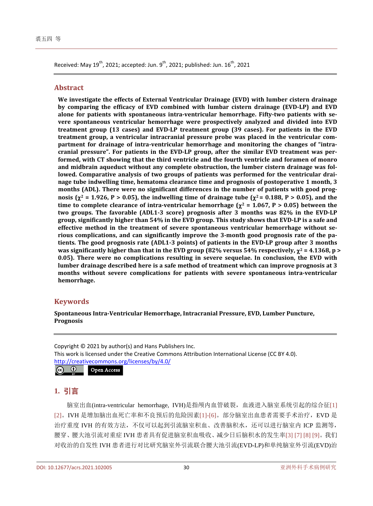Received: May 19<sup>th</sup>, 2021; accepted: Jun. 9<sup>th</sup>, 2021; published: Jun. 16<sup>th</sup>, 2021

#### **Abstract**

**We investigate the effects of External Ventricular Drainage (EVD) with lumber cistern drainage by comparing the efficacy of EVD combined with lumbar cistern drainage (EVD-LP) and EVD alone for patients with spontaneous intra-ventricular hemorrhage. Fifty-two patients with severe spontaneous ventricular hemorrhage were prospectively analyzed and divided into EVD treatment group (13 cases) and EVD-LP treatment group (39 cases). For patients in the EVD treatment group, a ventricular intracranial pressure probe was placed in the ventricular compartment for drainage of intra-ventricular hemorrhage and monitoring the changes of "intracranial pressure". For patients in the EVD-LP group, after the similar EVD treatment was performed, with CT showing that the third ventricle and the fourth ventricle and foramen of monro and midbrain aqueduct without any complete obstruction, the lumber cistern drainage was followed. Comparative analysis of two groups of patients was performed for the ventricular drainage tube indwelling time, hematoma clearance time and prognosis of postoperative 1 month, 3 months (ADL). There were no significant differences in the number of patients with good prognosis (** $\chi^2$  **= 1.926, P > 0.05), the indwelling time of drainage tube (** $\chi^2$  **= 0.188, P > 0.05), and the time to complete clearance of intra-ventricular hemorrhage (** $\chi^2$  **= 1.067, P > 0.05) between the two groups. The favorable (ADL1-3 score) prognosis after 3 months was 82% in the EVD-LP group, significantly higher than 54% in the EVD group. This study shows that EVD-LP is a safe and effective method in the treatment of severe spontaneous ventricular hemorrhage without serious complications, and can significantly improve the 3-month good prognosis rate of the patients. The good prognosis rate (ADL1-3 points) of patients in the EVD-LP group after 3 months was significantly higher than that in the EVD group (82% versus 54% respectively,** χ**<sup>2</sup> = 4.1368, p > 0.05). There were no complications resulting in severe sequelae. In conclusion, the EVD with lumber drainage described here is a safe method of treatment which can improve prognosis at 3 months without severe complications for patients with severe spontaneous intra-ventricular hemorrhage.**

## **Keywords**

**Spontaneous Intra-Ventricular Hemorrhage, Intracranial Pressure, EVD, Lumber Puncture, Prognosis**

Copyright © 2021 by author(s) and Hans Publishers Inc. This work is licensed under the Creative Commons Attribution International License (CC BY 4.0). <http://creativecommons.org/licenses/by/4.0/>  $\boxed{6}$ Open Access

## **1.** 引言

脑室出血(intra-ventricular hemorrhage, IVH)是指颅内血管破裂,血液进入脑室系统引起的综合征[\[1\]](#page-4-0) [\[2\]](#page-4-1)。IVH 是增加脑出血死亡率和不良预后的危险因素[\[1\]-](#page-4-0)[6]。部分脑室出血患者需要手术治疗,EVD 是 治疗重度 IVH 的有效方法,不仅可以起到引流脑室积血、改善脑积水,还可以进行脑室内 ICP 监测等, 腰穿、腰大池引流对重症 IVH 患者具有促进脑室积血吸收、减少日后脑积水的发生率[\[3\]](#page-4-2) [\[7\]](#page-4-3) [8] [\[9\]](#page-4-4)。我们 对收治的自发性 IVH 患者进行对比研究脑室外引流联合腰大池引流(EVD-LP)和单纯脑室外引流(EVD)治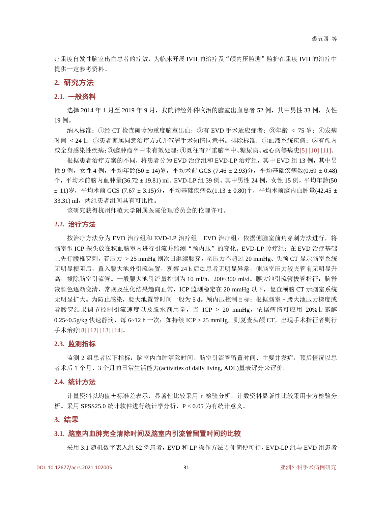疗重度自发性脑室出血患者的疗效,为临床开展 IVH 的治疗及"颅内压监测"监护在重度 IVH 的治疗中 提供一定参考资料。

#### **2.** 研究方法

#### **2.1.** 一般资料

选择 2014 年 1 月至 2019 年 9 月, 我院神经外科收治的脑室出血患者 52 例, 其中男性 33 例, 女性 19 例。

纳入标准: ①经 CT 检查确诊为重度脑室出血; ②有 EVD 手术适应症者; ③年龄 < 75 岁; ④发病 时间 < 24 h;⑤患者家属同意治疗方式并签署手术知情同意书。排除标准:①血液系统疾病;②有颅内 或全身感染性疾病;③脑肿瘤卒中未有效处理;④既往有严重脑卒中、糖尿病、冠心病等病史[5] [\[10\]](#page-4-5) [\[11\]](#page-4-6)。

根据患者治疗方案的不同,将患者分为 EVD 治疗组和 EVD-LP 治疗组,其中 EVD 组 13 例,其中男 性 9 例, 女性 4 例, 平均年龄(50 ± 14)岁, 平均术前 GCS (7.46 ± 2.93)分, 平均基础疾病数(0.69 ± 0.48) 个,平均术前脑内血肿量(36.72 ± 19.81) ml。EVD-LP 组 39 例。其中男性 24 例, 女性 15 例, 平均年龄(50) ± 11)岁,平均术前 GCS (7.67 ± 3.15)分,平均基础疾病数(1.13 ± 0.80)个,平均术前脑内血肿量(42.45 ± 33.31) ml, 两组患者组间具有可比性。

该研究获得杭州师范大学附属医院伦理委员会的伦理许可。

### **2.2.** 治疗方法

按治疗方法分为 EVD 治疗组和 EVD-LP 治疗组。EVD 治疗组:依据侧脑室前角穿刺方法进行,将 脑室型 ICP 探头放在积血脑室内进行引流并监测"颅内压"的变化。EVD-LP 诊疗组:在 EVD 治疗基础 上先行腰椎穿刺,若压力 > 25 mmHg 则次日继续腰穿,至压力不超过 20 mmHg、头颅 CT 显示脑室系统 无明显梗阻后,置入腰大池外引流装置,观察 24 h 后如患者无明显异常, 侧脑室压力较夹管前无明显升 高,拔除脑室引流管。一般腰大池引流量控制为 10 ml/h, 200~300 ml/d。腰大池引流管拔管指征:脑脊 液颜色逐渐变清,常规及生化结果趋向正常,ICP 监测稳定在 20 mmHg 以下,复查颅脑 CT 示脑室系统 无明显扩大。为防止感染,腰大池置管时间一般为 5 d。颅内压控制目标: 根据脑室 - 腰大池压力梯度或 者腰穿结果调节控制引流速度以及脱水剂用量,当 ICP > 20 mmHg,依据病情可应用 20%甘露醇 0.25~0.5g/kg 快速静滴,每 6~12 h 一次;如持续 ICP > 25 mmHg, 则复查头颅 CT, 出现手术指征者则行 手术治疗[8] [\[12\]](#page-4-7) [13] [\[14\]](#page-4-8)。

#### **2.3.** 监测指标

监测 2 组患者以下指标: 脑室内血肿清除时间、脑室引流管留置时间、主要并发症, 预后情况以患 者术后 1 个月、3 个月的日常生活能力(activities of daily living, ADL)量表评分来评价。

#### **2.4.** 统计方法

计量资料以均值±标准差表示, 显著性比较采用 t 检验分析, 计数资料显著性比较采用卡方检验分 析。采用 SPSS25.0 统计软件进行统计学分析,P < 0.05 为有统计意义。

#### **3.** 结果

#### **3.1.** 脑室内血肿完全清除时间及脑室内引流管留置时间的比较

采用 3:1 随机数字表入组 52 例患者,EVD 和 LP 操作方法方便简便可行,EVD-LP 组与 EVD 组患者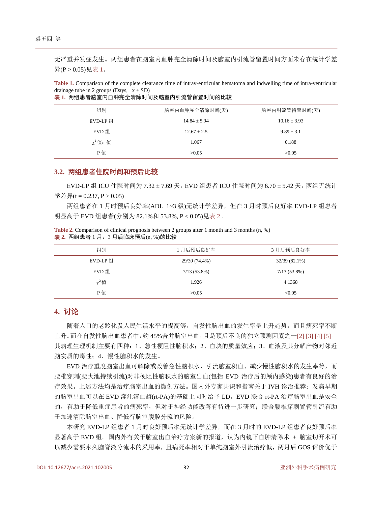无严重并发症发生。两组患者在脑室内血肿完全清除时间及脑室内引流管留置时间方面未存在统计学差 异(P > 0.05)[见表](#page-3-0) 1。

<span id="page-3-0"></span>**Table 1.** Comparison of the complete clearance time of intrav-entricular hematoma and indwelling time of intra-ventricular drainage tube in 2 groups (Days,  $\bar{x} \pm SD$ )

| <b>表</b> 1. 两组患者脑室内血肿完全清除时间及脑室内引流管留置时间的比较 |
|-------------------------------------------|
|-------------------------------------------|

| 组别             | 脑室内血肿完全清除时间(天)   | 脑室内引流管留置时间(天)    |
|----------------|------------------|------------------|
| EVD-LP 组       | $14.84 \pm 5.94$ | $10.16 \pm 3.93$ |
| EVD 组          | $12.67 + 2.5$    | $9.89 \pm 3.1$   |
| $\chi^2$ 值/t 值 | 1.067            | 0.188            |
| P值             | >0.05            | >0.05            |

#### **3.2.** 两组患者住院时间和预后比较

EVD-LP 组 ICU 住院时间为 7.32 ± 7.69 天, EVD 组患者 ICU 住院时间为 6.70 ± 5.42 天, 两组无统计 学差异(t = 0.237, P > 0.05)。

两组患者在 1 月时预后良好率(ADL 1~3 级)无统计学差异,但在 3 月时预后良好率 EVD-LP 组患者 明显高于 EVD 组患者(分别为 82.1%和 53.8%, P < 0.05)[见表](#page-3-1) 2。

<span id="page-3-1"></span>

|  | Table 2. Comparison of clinical prognosis between 2 groups after 1 month and 3 months (n, %) |  |  |
|--|----------------------------------------------------------------------------------------------|--|--|
|  | 表 2. 两组患者 1 月、3 月后临床预后(n, %)的比较                                                              |  |  |

| 组别         | 1月后预后良好率       | 3月后预后良好率       |  |
|------------|----------------|----------------|--|
| EVD-LP 组   | 29/39 (74.4%)  | 32/39 (82.1%)  |  |
| EVD 组      | $7/13(53.8\%)$ | $7/13(53.8\%)$ |  |
| $\chi^2$ 值 | 1.926          | 4.1368         |  |
| P值         | >0.05          | < 0.05         |  |

## **4.** 讨论

随着人口的老龄化及人民生活水平的提高等,自发性脑出血的发生率呈上升趋势,而且病死率不断 上升。而在自发性脑出血患者中,约 45%合并脑室出血,且是预后不良的独立预测因素之一[\[2\]](#page-4-1) [\[3\]](#page-4-2) [4] [5]。 其病理生理机制主要有四种:1、急性梗阻性脑积水;2、血块的质量效应;3、血液及其分解产物对邻近 脑实质的毒性;4、慢性脑积水的发生。

EVD 治疗重度脑室出血可解除或改善急性脑积水、引流脑室积血、减少慢性脑积水的发生率等,而 腰椎穿刺(腰大池持续引流)对非梗阻性脑积水的脑室出血(包括 EVD 治疗后的颅内感染)患者有良好的治 疗效果。上述方法均是治疗脑室出血的微创方法。国内外专家共识和指南关于 IVH 诊治推荐:发病早期 的脑室出血可以在 EVD 灌注溶血酶(rt-PA)的基础上同时给予 LD。EVD 联合 rt-PA 治疗脑室出血是安全 的,有助于降低重症患者的病死率,但对于神经功能改善有待进一步研究;联合腰椎穿刺置管引流有助 于加速清除脑室出血、降低行脑室腹腔分流的风险。

本研究 EVD-LP 组患者 1 月时良好预后率无统计学差异,而在 3 月时的 EVD-LP 组患者良好预后率 显著高于 EVD 组。国内外有关于脑室出血治疗方案新的报道,认为内镜下血肿清除术 + 脑室切开术可 以减少需要永久脑脊液分流术的采用率,且病死率相对于单纯脑室外引流治疗低,两月后 GOS 评价优于